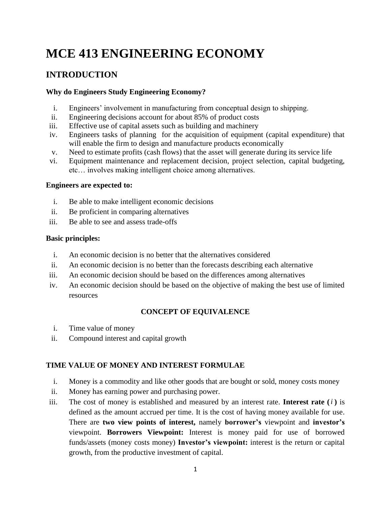# **MCE 413 ENGINEERING ECONOMY**

## **INTRODUCTION**

#### **Why do Engineers Study Engineering Economy?**

- i. Engineers' involvement in manufacturing from conceptual design to shipping.
- ii. Engineering decisions account for about 85% of product costs
- iii. Effective use of capital assets such as building and machinery
- iv. Engineers tasks of planning for the acquisition of equipment (capital expenditure) that will enable the firm to design and manufacture products economically
- v. Need to estimate profits (cash flows) that the asset will generate during its service life
- vi. Equipment maintenance and replacement decision, project selection, capital budgeting, etc… involves making intelligent choice among alternatives.

#### **Engineers are expected to:**

- i. Be able to make intelligent economic decisions
- ii. Be proficient in comparing alternatives
- iii. Be able to see and assess trade-offs

#### **Basic principles:**

- i. An economic decision is no better that the alternatives considered
- ii. An economic decision is no better than the forecasts describing each alternative
- iii. An economic decision should be based on the differences among alternatives
- iv. An economic decision should be based on the objective of making the best use of limited resources

#### **CONCEPT OF EQUIVALENCE**

- i. Time value of money
- ii. Compound interest and capital growth

#### **TIME VALUE OF MONEY AND INTEREST FORMULAE**

- i. Money is a commodity and like other goods that are bought or sold, money costs money
- ii. Money has earning power and purchasing power.
- iii. The cost of money is established and measured by an interest rate. Interest rate  $(i)$  is defined as the amount accrued per time. It is the cost of having money available for use. There are **two view points of interest,** namely **borrower's** viewpoint and **investor's** viewpoint. **Borrowers Viewpoint:** Interest is money paid for use of borrowed funds/assets (money costs money) **Investor's viewpoint:** interest is the return or capital growth, from the productive investment of capital.